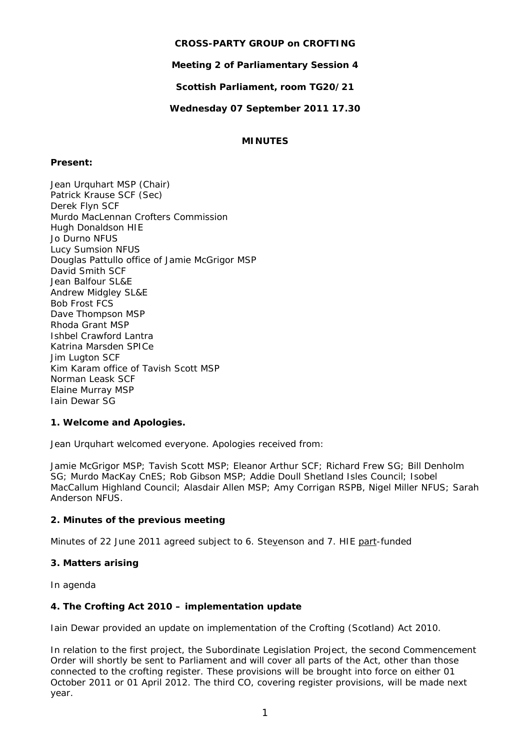# **CROSS-PARTY GROUP on CROFTING**

**Meeting 2 of Parliamentary Session 4** 

**Scottish Parliament, room TG20/21** 

**Wednesday 07 September 2011 17.30** 

# **MINUTES**

# **Present:**

Jean Urquhart MSP (Chair) Patrick Krause SCF (Sec) Derek Flyn SCF Murdo MacLennan Crofters Commission Hugh Donaldson HIE Jo Durno NFUS Lucy Sumsion NFUS Douglas Pattullo office of Jamie McGrigor MSP David Smith SCF Jean Balfour SL&E Andrew Midgley SL&E Bob Frost FCS Dave Thompson MSP Rhoda Grant MSP Ishbel Crawford Lantra Katrina Marsden SPICe Jim Lugton SCF Kim Karam office of Tavish Scott MSP Norman Leask SCF Elaine Murray MSP Iain Dewar SG

# **1. Welcome and Apologies.**

Jean Urquhart welcomed everyone. Apologies received from:

Jamie McGrigor MSP; Tavish Scott MSP; Eleanor Arthur SCF; Richard Frew SG; Bill Denholm SG; Murdo MacKay CnES; Rob Gibson MSP; Addie Doull Shetland Isles Council; Isobel MacCallum Highland Council; Alasdair Allen MSP; Amy Corrigan RSPB, Nigel Miller NFUS; Sarah Anderson NFUS.

# **2. Minutes of the previous meeting**

Minutes of 22 June 2011 agreed subject to 6. Stevenson and 7. HIE part-funded

### **3. Matters arising**

In agenda

# **4. The Crofting Act 2010 – implementation update**

Iain Dewar provided an update on implementation of the Crofting (Scotland) Act 2010.

In relation to the first project, the Subordinate Legislation Project, the second Commencement Order will shortly be sent to Parliament and will cover all parts of the Act, other than those connected to the crofting register. These provisions will be brought into force on either 01 October 2011 or 01 April 2012. The third CO, covering register provisions, will be made next year.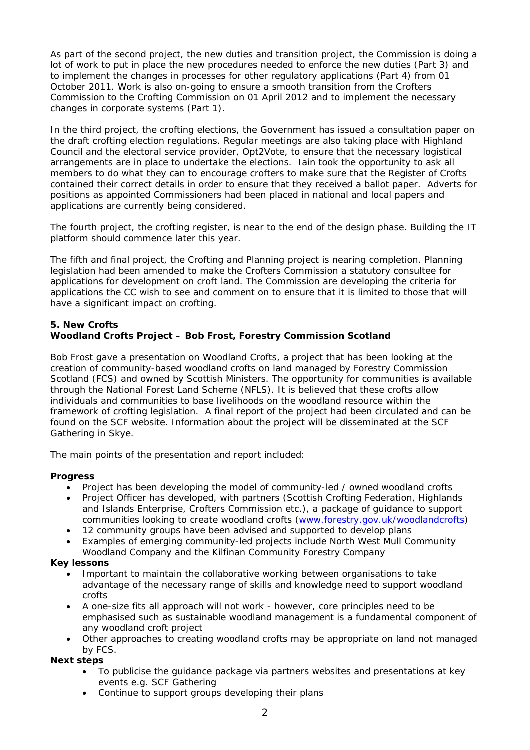As part of the second project, the new duties and transition project, the Commission is doing a lot of work to put in place the new procedures needed to enforce the new duties (Part 3) and to implement the changes in processes for other regulatory applications (Part 4) from 01 October 2011. Work is also on-going to ensure a smooth transition from the Crofters Commission to the Crofting Commission on 01 April 2012 and to implement the necessary changes in corporate systems (Part 1).

In the third project, the crofting elections, the Government has issued a consultation paper on the draft crofting election regulations. Regular meetings are also taking place with Highland Council and the electoral service provider, Opt2Vote, to ensure that the necessary logistical arrangements are in place to undertake the elections. Iain took the opportunity to ask all members to do what they can to encourage crofters to make sure that the Register of Crofts contained their correct details in order to ensure that they received a ballot paper. Adverts for positions as appointed Commissioners had been placed in national and local papers and applications are currently being considered.

The fourth project, the crofting register, is near to the end of the design phase. Building the IT platform should commence later this year.

The fifth and final project, the Crofting and Planning project is nearing completion. Planning legislation had been amended to make the Crofters Commission a statutory consultee for applications for development on croft land. The Commission are developing the criteria for applications the CC wish to see and comment on to ensure that it is limited to those that will have a significant impact on crofting.

## **5. New Crofts Woodland Crofts Project – Bob Frost, Forestry Commission Scotland**

Bob Frost gave a presentation on Woodland Crofts, a project that has been looking at the creation of community-based woodland crofts on land managed by Forestry Commission Scotland (FCS) and owned by Scottish Ministers. The opportunity for communities is available through the National Forest Land Scheme (NFLS). It is believed that these crofts allow individuals and communities to base livelihoods on the woodland resource within the framework of crofting legislation. A final report of the project had been circulated and can be found on the SCF website. Information about the project will be disseminated at the SCF Gathering in Skye.

The main points of the presentation and report included:

# **Progress**

- Project has been developing the model of community-led / owned woodland crofts
- Project Officer has developed, with partners (Scottish Crofting Federation, Highlands and Islands Enterprise, Crofters Commission etc.), a package of guidance to support communities looking to create woodland crofts (www.forestry.gov.uk/woodlandcrofts)
- 12 community groups have been advised and supported to develop plans
- Examples of emerging community-led projects include North West Mull Community Woodland Company and the Kilfinan Community Forestry Company

### **Key lessons**

- Important to maintain the collaborative working between organisations to take advantage of the necessary range of skills and knowledge need to support woodland crofts
- A one-size fits all approach will not work however, core principles need to be emphasised such as sustainable woodland management is a fundamental component of any woodland croft project
- Other approaches to creating woodland crofts may be appropriate on land not managed by FCS.

### **Next steps**

- To publicise the guidance package via partners websites and presentations at key events e.g. SCF Gathering
- Continue to support groups developing their plans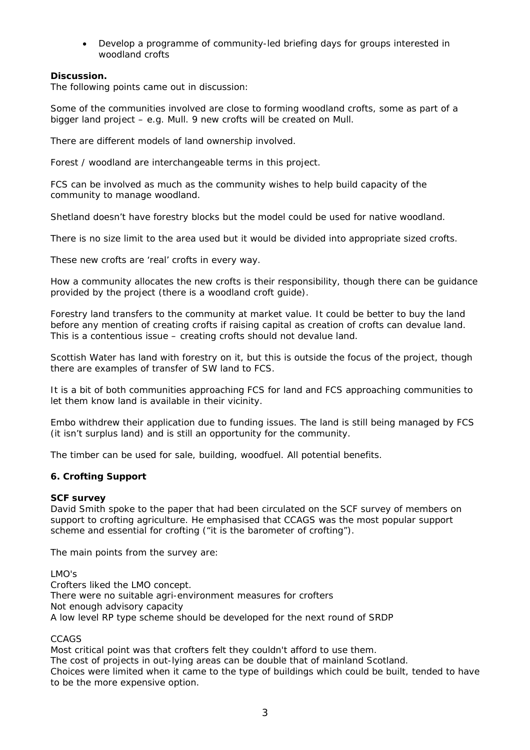Develop a programme of community-led briefing days for groups interested in woodland crofts

## **Discussion.**

The following points came out in discussion:

Some of the communities involved are close to forming woodland crofts, some as part of a bigger land project – e.g. Mull. 9 new crofts will be created on Mull.

There are different models of land ownership involved.

Forest / woodland are interchangeable terms in this project.

FCS can be involved as much as the community wishes to help build capacity of the community to manage woodland.

Shetland doesn't have forestry blocks but the model could be used for native woodland.

There is no size limit to the area used but it would be divided into appropriate sized crofts.

These new crofts are 'real' crofts in every way.

How a community allocates the new crofts is their responsibility, though there can be guidance provided by the project (there is a woodland croft guide).

Forestry land transfers to the community at market value. It could be better to buy the land before any mention of creating crofts if raising capital as creation of crofts can devalue land. This is a contentious issue – creating crofts should not devalue land.

Scottish Water has land with forestry on it, but this is outside the focus of the project, though there are examples of transfer of SW land to FCS.

It is a bit of both communities approaching FCS for land and FCS approaching communities to let them know land is available in their vicinity.

Embo withdrew their application due to funding issues. The land is still being managed by FCS (it isn't surplus land) and is still an opportunity for the community.

The timber can be used for sale, building, woodfuel. All potential benefits.

### **6. Crofting Support**

#### *SCF survey*

David Smith spoke to the paper that had been circulated on the SCF survey of members on support to crofting agriculture. He emphasised that CCAGS was the most popular support scheme and essential for crofting ("it is the barometer of crofting").

The main points from the survey are:

### LMO's

Crofters liked the LMO concept. There were no suitable agri-environment measures for crofters Not enough advisory capacity A low level RP type scheme should be developed for the next round of SRDP

### CCAGS

Most critical point was that crofters felt they couldn't afford to use them.

The cost of projects in out-lying areas can be double that of mainland Scotland.

Choices were limited when it came to the type of buildings which could be built, tended to have to be the more expensive option.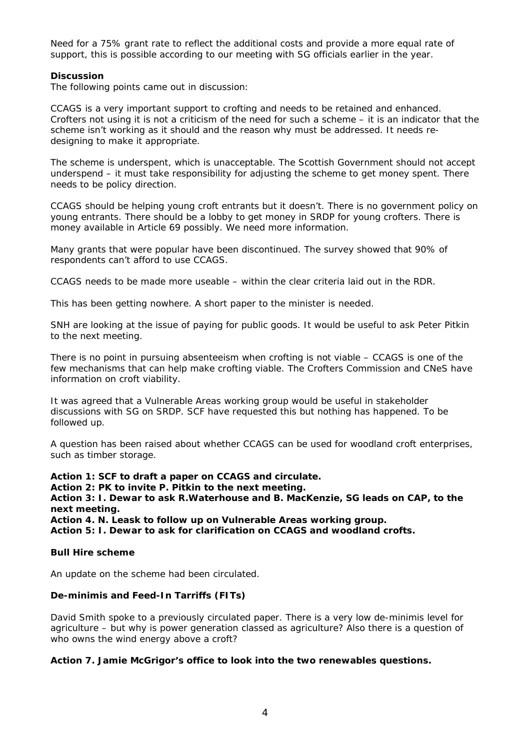Need for a 75% grant rate to reflect the additional costs and provide a more equal rate of support, this is possible according to our meeting with SG officials earlier in the year.

### **Discussion**

The following points came out in discussion:

CCAGS is a very important support to crofting and needs to be retained and enhanced. Crofters not using it is not a criticism of the need for such a scheme – it is an indicator that the scheme isn't working as it should and the reason why must be addressed. It needs redesigning to make it appropriate.

The scheme is underspent, which is unacceptable. The Scottish Government should not accept underspend – it must take responsibility for adjusting the scheme to get money spent. There needs to be policy direction.

CCAGS should be helping young croft entrants but it doesn't. There is no government policy on young entrants. There should be a lobby to get money in SRDP for young crofters. There is money available in Article 69 possibly. We need more information.

Many grants that were popular have been discontinued. The survey showed that 90% of respondents can't afford to use CCAGS.

CCAGS needs to be made more useable – within the clear criteria laid out in the RDR.

This has been getting nowhere. A short paper to the minister is needed.

SNH are looking at the issue of paying for public goods. It would be useful to ask Peter Pitkin to the next meeting.

There is no point in pursuing absenteeism when crofting is not viable – CCAGS is one of the few mechanisms that can help make crofting viable. The Crofters Commission and CNeS have information on croft viability.

It was agreed that a Vulnerable Areas working group would be useful in stakeholder discussions with SG on SRDP. SCF have requested this but nothing has happened. To be followed up.

A question has been raised about whether CCAGS can be used for woodland croft enterprises, such as timber storage.

**Action 1: SCF to draft a paper on CCAGS and circulate.** 

**Action 2: PK to invite P. Pitkin to the next meeting.** 

**Action 3: I. Dewar to ask R.Waterhouse and B. MacKenzie, SG leads on CAP, to the next meeting.** 

**Action 4. N. Leask to follow up on Vulnerable Areas working group. Action 5: I. Dewar to ask for clarification on CCAGS and woodland crofts.** 

### *Bull Hire scheme*

An update on the scheme had been circulated.

### *De-minimis and Feed-In Tarriffs (FITs)*

David Smith spoke to a previously circulated paper. There is a very low de-minimis level for agriculture – but why is power generation classed as agriculture? Also there is a question of who owns the wind energy above a croft?

## **Action 7. Jamie McGrigor's office to look into the two renewables questions.**